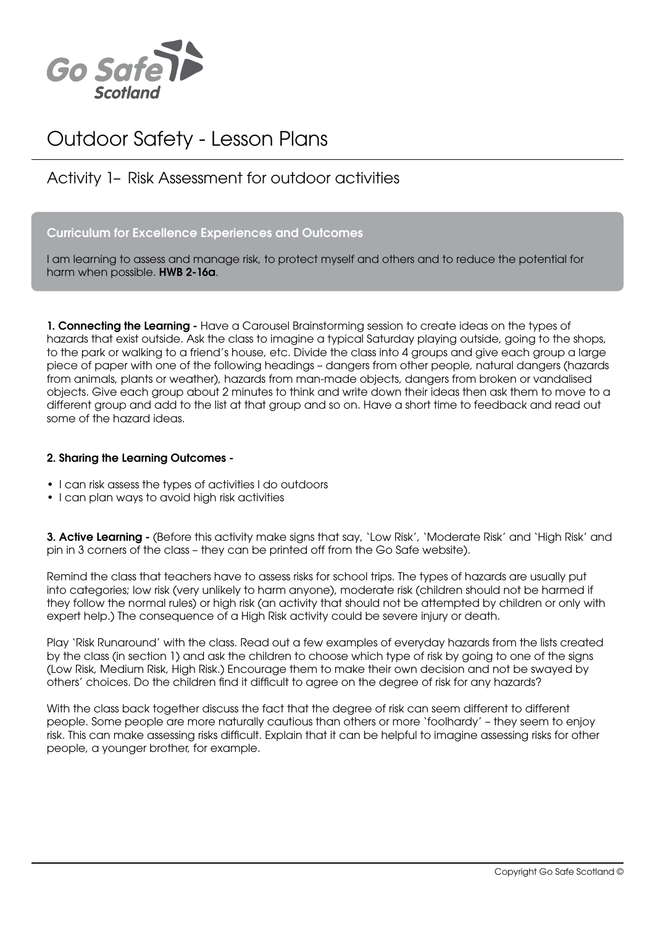

# Outdoor Safety - Lesson Plans

### Activity 1– Risk Assessment for outdoor activities

#### Curriculum for Excellence Experiences and Outcomes

I am learning to assess and manage risk, to protect myself and others and to reduce the potential for harm when possible. HWB 2-16a.

1. Connecting the Learning - Have a Carousel Brainstorming session to create ideas on the types of hazards that exist outside. Ask the class to imagine a typical Saturday playing outside, going to the shops, to the park or walking to a friend's house, etc. Divide the class into 4 groups and give each group a large piece of paper with one of the following headings – dangers from other people, natural dangers (hazards from animals, plants or weather), hazards from man-made objects, dangers from broken or vandalised objects. Give each group about 2 minutes to think and write down their ideas then ask them to move to a different group and add to the list at that group and so on. Have a short time to feedback and read out some of the hazard ideas.

#### 2. Sharing the Learning Outcomes -

- I can risk assess the types of activities I do outdoors
- I can plan ways to avoid high risk activities

3. Active Learning - (Before this activity make sians that say, 'Low Risk', 'Moderate Risk' and 'High Risk' and pin in 3 corners of the class – they can be printed off from the Go Safe website).

Remind the class that teachers have to assess risks for school trips. The types of hazards are usually put into categories; low risk (very unlikely to harm anyone), moderate risk (children should not be harmed if they follow the normal rules) or high risk (an activity that should not be attempted by children or only with expert help.) The consequence of a High Risk activity could be severe injury or death.

Play 'Risk Runaround' with the class. Read out a few examples of everyday hazards from the lists created by the class (in section 1) and ask the children to choose which type of risk by going to one of the signs (Low Risk, Medium Risk, High Risk.) Encourage them to make their own decision and not be swayed by others' choices. Do the children find it difficult to agree on the degree of risk for any hazards?

With the class back together discuss the fact that the degree of risk can seem different to different people. Some people are more naturally cautious than others or more 'foolhardy' – they seem to enjoy risk. This can make assessing risks difficult. Explain that it can be helpful to imagine assessing risks for other people, a younger brother, for example.